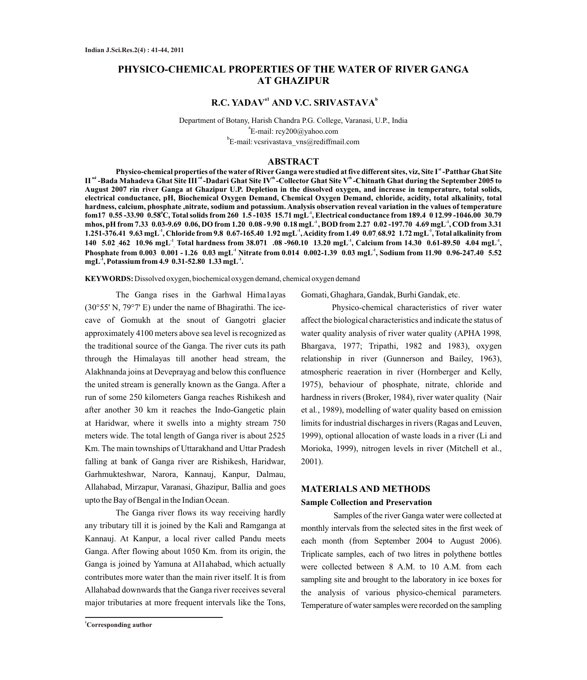# **PHYSICO-CHEMICAL PROPERTIES OF THE WATER OF RIVER GANGA AT GHAZIPUR**

## $R.C. YADAV<sup>al</sup> AND V.C. SRIVASTAVA<sup>b</sup>$

Department of Botany, Harish Chandra P.G. College, Varanasi, U.P., India a E-mail: rcy200@yahoo.com b E-mail: vcsrivastava\_vns@rediffmail.com

## **ABSTRACT**

**st Physico-chemical properties of the water of RiverGanga were studied at five different sites, viz, Site I -PattharGhat Site**  II<sup>nd</sup> -Bada Mahadeva Ghat Site III<sup>rd</sup> -Dadari Ghat Site IV<sup>th</sup> -Collector Ghat Site V<sup>th</sup> -Chitnath Ghat during the September 2005 to **August 2007 rin river Ganga at Ghazipur U.P. Depletion in the dissolved oxygen, and increase in temperature, total solids, electrical conductance, pH, Biochemical Oxygen Demand, Chemical Oxygen Demand, chloride, acidity, total alkalinity, total hardness, calcium, phosphate ,nitrate, sodium and potassium. Analysis observation reveal variation in the values of temperature <sup>0</sup> -1 fom17 0.55 -33.90 0.58 C, Total solids from 260 1.5 -1035 15.71 mgL , Electrical conductance from 189.4 0 12.99 -1046.00 30.79 -1 -1 mhos, pH from 7.33 0.03-9.69 0.06, DO from 1.20 0.08 -9.90 0.18 mgL , BOD from 2.27 0.02 -197.70 4.69 mgL , COD from 3.31 -1 -1 -1 1.251-376.41 9.63 mgL , Chloride from 9.8 0.67-165.40 1.92 mgL , Acidity from 1.49 0.07 68.92 1.72 mgL , Total alkalinity from - -1 -1 -1 140 5.02 462 10.96 mgL Total hardness from 38.071 .08 -960.10 13.20 mgL , Calcium from 14.30 0.61-89.50 4.04 mgL , - , -1 -1 Phosphate from 0.003 0.001 - 1.26 0.03 mgL Nitrate from 0.014 0.002-1.39 0.03 mgL , Sodium from 11.90 0.96-247.40 5.52 mgL**<sup>1</sup>, Potassium from 4.9 0.31-52.80 1.33 mgL<sup>-1</sup>.

**KEYWORDS:** Dissolved oxygen, biochemical oxygen demand, chemical oxygen demand

The Ganga rises in the Garhwal Hima1ayas (30°55' N, 79°7' E) under the name of Bhagirathi. The icecave of Gomukh at the snout of Gangotri glacier approximately 4100 meters above sea level is recognized as the traditional source of the Ganga. The river cuts its path through the Himalayas till another head stream, the Alakhnanda joins at Deveprayag and below this confluence the united stream is generally known as the Ganga. After a run of some 250 kilometers Ganga reaches Rishikesh and after another 30 km it reaches the Indo-Gangetic plain at Haridwar, where it swells into a mighty stream 750 meters wide. The total length of Ganga river is about 2525 Km. The main townships of Uttarakhand and Uttar Pradesh falling at bank of Ganga river are Rishikesh, Haridwar, Garhmukteshwar, Narora, Kannauj, Kanpur, Dalmau, Allahabad, Mirzapur, Varanasi, Ghazipur, Ballia and goes upto the Bay of Bengal in the Indian Ocean.

The Ganga river flows its way receiving hardly any tributary till it is joined by the Kali and Ramganga at Kannauj. At Kanpur, a local river called Pandu meets Ganga. After flowing about 1050 Km. from its origin, the Ganga is joined by Yamuna at Al1ahabad, which actually contributes more water than the main river itself. It is from Allahabad downwards that the Ganga river receives several major tributaries at more frequent intervals like the Tons,

Gomati, Ghaghara, Gandak, Burhi Gandak, etc.

Physico-chemical characteristics of river water affect the biological characteristics and indicate the status of water quality analysis of river water quality (APHA 1998*,* Bhargava, 1977; Tripathi, 1982 and 1983), oxygen relationship in river (Gunnerson and Bailey, 1963), atmospheric reaeration in river (Hornberger and Kelly, 1975), behaviour of phosphate, nitrate, chloride and hardness in rivers (Broker, 1984), river water quality (Nair et al*.*, 1989), modelling of water quality based on emission limits for industrial discharges in rivers (Ragas and Leuven, 1999), optional allocation of waste loads in a river (Li and Morioka, 1999), nitrogen levels in river (Mitchell et al., 2001).

#### **MATERIALS AND METHODS**

#### **Sample Collection and Preservation**

Samples of the river Ganga water were collected at monthly intervals from the selected sites in the first week of each month (from September 2004 to August 2006). Triplicate samples, each of two litres in polythene bottles were collected between 8 A.M. to 10 A.M. from each sampling site and brought to the laboratory in ice boxes for the analysis of various physico-chemical parameters. Temperature of water samples were recorded on the sampling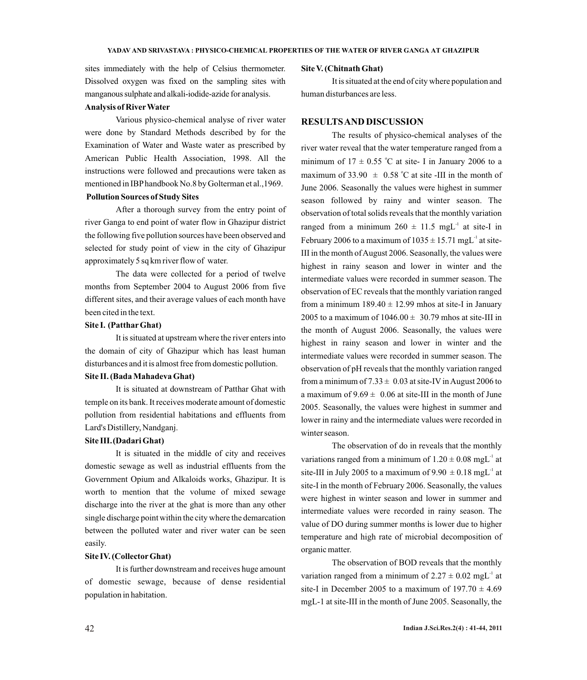sites immediately with the help of Celsius thermometer. Dissolved oxygen was fixed on the sampling sites with manganous sulphate and alkali-iodide-azide for analysis.

#### **Analysis of RiverWater**

Various physico-chemical analyse of river water were done by Standard Methods described by for the Examination of Water and Waste water as prescribed by American Public Health Association, 1998. All the instructions were followed and precautions were taken as mentioned in IBPhandbook No.8 by Golterman et al.,1969. **Pollution Sources of Study Sites**

After a thorough survey from the entry point of river Ganga to end point of water flow in Ghazipur district the following five pollution sources have been observed and selected for study point of view in the city of Ghazipur approximately 5 sq km river flow of water.

The data were collected for a period of twelve months from September 2004 to August 2006 from five different sites, and their average values of each month have been cited in the text.

## **Site I. (PattharGhat)**

It is situated at upstream where the river enters into the domain of city of Ghazipur which has least human disturbances and it is almost free from domestic pollution.

#### **Site II. (Bada Mahadeva Ghat)**

It is situated at downstream of Patthar Ghat with temple on its bank. It receives moderate amount of domestic pollution from residential habitations and effluents from Lard's Distillery, Nandganj.

## **Site III.(Dadari Ghat)**

It is situated in the middle of city and receives domestic sewage as well as industrial effluents from the Government Opium and Alkaloids works, Ghazipur. It is worth to mention that the volume of mixed sewage discharge into the river at the ghat is more than any other single discharge point within the city where the demarcation between the polluted water and river water can be seen easily.

#### **Site IV. (CollectorGhat)**

It is further downstream and receives huge amount of domestic sewage, because of dense residential population in habitation.

#### **Site V. (Chitnath Ghat)**

It is situated at the end of city where population and human disturbances are less.

#### **RESULTS AND DISCUSSION**

The results of physico-chemical analyses of the river water reveal that the water temperature ranged from a minimum of  $17 \pm 0.55$  °C at site- I in January 2006 to a maximum of 33.90  $\pm$  0.58 °C at site -III in the month of June 2006. Seasonally the values were highest in summer season followed by rainy and winter season. The observation of total solids reveals that the monthly variation ranged from a minimum  $260 \pm 11.5$  mgL<sup>-1</sup> at site-I in February 2006 to a maximum of  $1035 \pm 15.71$  mgL<sup>-1</sup> at site-III in the month of August 2006. Seasonally, the values were highest in rainy season and lower in winter and the intermediate values were recorded in summer season. The observation of EC reveals that the monthly variation ranged from a minimum  $189.40 \pm 12.99$  mhos at site-I in January 2005 to a maximum of  $1046.00 \pm 30.79$  mhos at site-III in the month of August 2006. Seasonally, the values were highest in rainy season and lower in winter and the intermediate values were recorded in summer season. The observation of pH reveals that the monthly variation ranged from a minimum of  $7.33 \pm 0.03$  at site-IV in August 2006 to a maximum of  $9.69 \pm 0.06$  at site-III in the month of June 2005. Seasonally, the values were highest in summer and lower in rainy and the intermediate values were recorded in winter season.

The observation of do in reveals that the monthly variations ranged from a minimum of  $1.20 \pm 0.08$  mgL<sup>-1</sup> at site-III in July 2005 to a maximum of  $9.90 \pm 0.18$  mgL<sup>-1</sup> at site-I in the month of February 2006. Seasonally, the values were highest in winter season and lower in summer and intermediate values were recorded in rainy season. The value of DO during summer months is lower due to higher temperature and high rate of microbial decomposition of organic matter.

The observation of BOD reveals that the monthly variation ranged from a minimum of  $2.27 \pm 0.02$  mgL<sup>-1</sup> at site-I in December 2005 to a maximum of  $197.70 \pm 4.69$ mgL-1 at site-III in the month of June 2005. Seasonally, the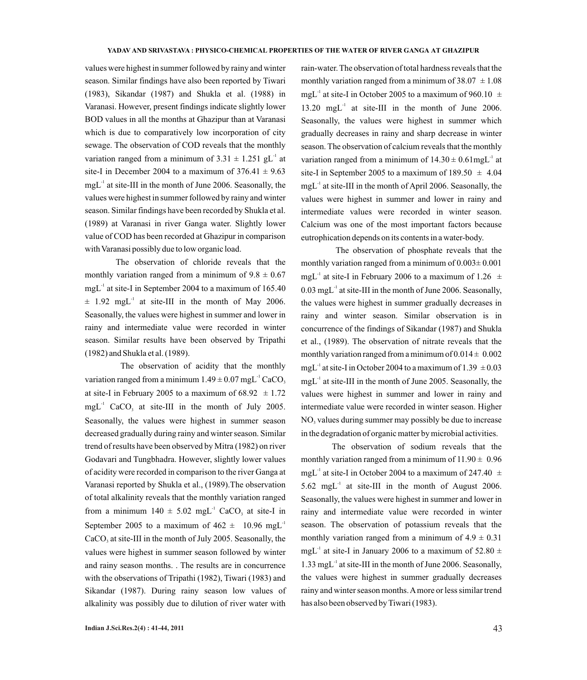values were highest in summer followed by rainy and winter season. Similar findings have also been reported by Tiwari (1983), Sikandar (1987) and Shukla et al. (1988) in Varanasi. However, present findings indicate slightly lower BOD values in all the months at Ghazipur than at Varanasi which is due to comparatively low incorporation of city sewage. The observation of COD reveals that the monthly variation ranged from a minimum of  $3.31 \pm 1.251$  gL<sup>-1</sup> at site-I in December 2004 to a maximum of  $376.41 \pm 9.63$  $mgL<sup>-1</sup>$  at site-III in the month of June 2006. Seasonally, the values were highest in summer followed by rainy and winter season. Similar findings have been recorded by Shukla et al. (1989) at Varanasi in river Ganga water. Slightly lower value of COD has been recorded at Ghazipur in comparison with Varanasi possibly due to low organic load.

The observation of chloride reveals that the monthly variation ranged from a minimum of  $9.8 \pm 0.67$  $mgL<sup>-1</sup>$  at site-I in September 2004 to a maximum of 165.40  $\pm$  1.92 mgL<sup>-1</sup> at site-III in the month of May 2006. Seasonally, the values were highest in summer and lower in rainy and intermediate value were recorded in winter season. Similar results have been observed by Tripathi (1982) and Shukla et al. (1989).

The observation of acidity that the monthly variation ranged from a minimum  $1.49 \pm 0.07$  mgL<sup>-1</sup> CaCO<sub>3</sub> at site-I in February 2005 to a maximum of  $68.92 \pm 1.72$  $mgL<sup>-1</sup>$  CaCO<sub>3</sub> at site-III in the month of July 2005. Seasonally, the values were highest in summer season decreased gradually during rainy and winter season. Similar trend of results have been observed by Mitra (1982) on river Godavari and Tungbhadra. However, slightly lower values of acidity were recorded in comparison to the river Ganga at Varanasi reported by Shukla et al., (1989).The observation of total alkalinity reveals that the monthly variation ranged from a minimum  $140 \pm 5.02$  mgL<sup>-1</sup> CaCO, at site-I in September 2005 to a maximum of  $462 \pm 10.96$  mgL<sup>-1</sup> CaCO, at site-III in the month of July 2005. Seasonally, the values were highest in summer season followed by winter and rainy season months. . The results are in concurrence with the observations of Tripathi (1982), Tiwari (1983) and Sikandar (1987). During rainy season low values of alkalinity was possibly due to dilution of river water with

**Indian J.Sci.Res.2(4) : 41-44, 2011**

rain-water. The observation of total hardness reveals that the monthly variation ranged from a minimum of  $38.07 \pm 1.08$ mgL<sup>-1</sup> at site-I in October 2005 to a maximum of 960.10  $\pm$  $13.20$  mgL<sup>-1</sup> at site-III in the month of June 2006. Seasonally, the values were highest in summer which gradually decreases in rainy and sharp decrease in winter season. The observation of calcium reveals that the monthly variation ranged from a minimum of  $14.30 \pm 0.61$ mgL<sup>-1</sup> at site-I in September 2005 to a maximum of  $189.50 \pm 4.04$  $mgL<sup>-1</sup>$  at site-III in the month of April 2006. Seasonally, the values were highest in summer and lower in rainy and intermediate values were recorded in winter season. Calcium was one of the most important factors because eutrophication depends on its contents in a water-body.

The observation of phosphate reveals that the monthly variation ranged from a minimum of  $0.003 \pm 0.001$  $mgL<sup>-1</sup>$  at site-I in February 2006 to a maximum of 1.26  $\pm$  $0.03 \text{ mgL}^{-1}$  at site-III in the month of June 2006. Seasonally, the values were highest in summer gradually decreases in rainy and winter season. Similar observation is in concurrence of the findings of Sikandar (1987) and Shukla et al., (1989). The observation of nitrate reveals that the monthly variation ranged from a minimum of  $0.014 \pm 0.002$  $mgL<sup>-1</sup>$  at site-I in October 2004 to a maximum of 1.39  $\pm 0.03$  $mgL<sup>-1</sup>$  at site-III in the month of June 2005. Seasonally, the values were highest in summer and lower in rainy and intermediate value were recorded in winter season. Higher  $NO<sub>3</sub>$  values during summer may possibly be due to increase in the degradation of organic matter by microbial activities.

The observation of sodium reveals that the monthly variation ranged from a minimum of  $11.90 \pm 0.96$ mgL<sup>-1</sup> at site-I in October 2004 to a maximum of 247.40  $\pm$  $5.62 \text{ mgL}^1$  at site-III in the month of August 2006. Seasonally, the values were highest in summer and lower in rainy and intermediate value were recorded in winter season. The observation of potassium reveals that the monthly variation ranged from a minimum of  $4.9 \pm 0.31$  $mgL<sup>-1</sup>$  at site-I in January 2006 to a maximum of 52.80  $\pm$  $1.33 \text{ mgL}^{-1}$  at site-III in the month of June 2006. Seasonally, the values were highest in summer gradually decreases rainy and winter season months. Amore or less similar trend has also been observed by Tiwari (1983).